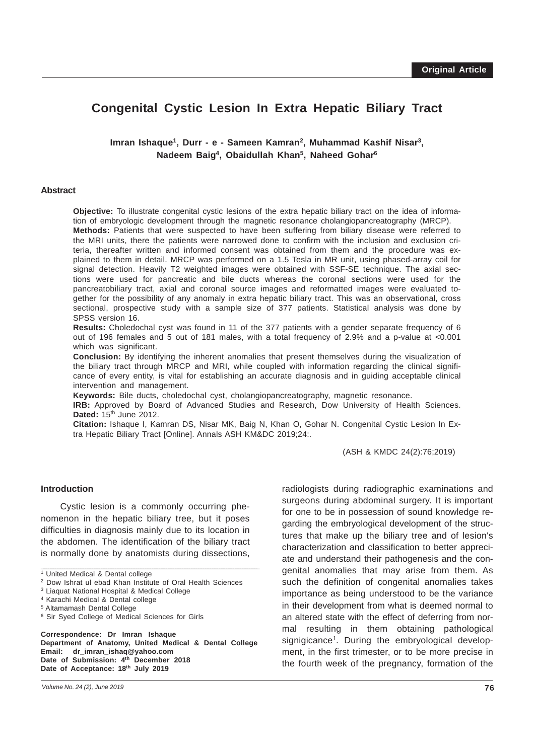# **Congenital Cystic Lesion In Extra Hepatic Biliary Tract**

**Imran Ishaque1, Durr - e - Sameen Kamran2, Muhammad Kashif Nisar3, Nadeem Baig4, Obaidullah Khan5, Naheed Gohar6**

#### **Abstract**

**Objective:** To illustrate congenital cystic lesions of the extra hepatic biliary tract on the idea of information of embryologic development through the magnetic resonance cholangiopancreatography (MRCP). **Methods:** Patients that were suspected to have been suffering from biliary disease were referred to the MRI units, there the patients were narrowed done to confirm with the inclusion and exclusion criteria, thereafter written and informed consent was obtained from them and the procedure was explained to them in detail. MRCP was performed on a 1.5 Tesla in MR unit, using phased-array coil for signal detection. Heavily T2 weighted images were obtained with SSF-SE technique. The axial sections were used for pancreatic and bile ducts whereas the coronal sections were used for the pancreatobiliary tract, axial and coronal source images and reformatted images were evaluated together for the possibility of any anomaly in extra hepatic biliary tract. This was an observational, cross sectional, prospective study with a sample size of 377 patients. Statistical analysis was done by SPSS version 16.

**Results:** Choledochal cyst was found in 11 of the 377 patients with a gender separate frequency of 6 out of 196 females and 5 out of 181 males, with a total frequency of 2.9% and a p-value at <0.001 which was significant.

**Conclusion:** By identifying the inherent anomalies that present themselves during the visualization of the biliary tract through MRCP and MRI, while coupled with information regarding the clinical significance of every entity, is vital for establishing an accurate diagnosis and in guiding acceptable clinical intervention and management.

**Keywords:** Bile ducts, choledochal cyst, cholangiopancreatography, magnetic resonance.

**IRB:** Approved by Board of Advanced Studies and Research, Dow University of Health Sciences. **Dated:** 15<sup>th</sup> June 2012.

**Citation:** Ishaque I, Kamran DS, Nisar MK, Baig N, Khan O, Gohar N. Congenital Cystic Lesion In Extra Hepatic Biliary Tract [Online]. Annals ASH KM&DC 2019;24:.

(ASH & KMDC 24(2):76;2019)

#### **Introduction**

Cystic lesion is a commonly occurring phenomenon in the hepatic biliary tree, but it poses difficulties in diagnosis mainly due to its location in the abdomen. The identification of the biliary tract is normally done by anatomists during dissections,

\_\_\_\_\_\_\_\_\_\_\_\_\_\_\_\_\_\_\_\_\_\_\_\_\_\_\_\_\_\_\_\_\_\_\_\_\_\_\_\_\_\_\_\_\_\_\_\_\_\_\_\_\_\_\_\_\_\_\_\_\_\_\_\_\_\_\_\_\_\_\_\_\_\_\_\_\_\_\_\_\_\_\_\_\_\_\_\_\_\_\_\_\_\_

6 Sir Syed College of Medical Sciences for Girls

**Correspondence: Dr Imran Ishaque Department of Anatomy, United Medical & Dental College Email: dr\_imran\_ishaq@yahoo.com Date of Submission: 4th December 2018 Date of Acceptance: 18th July 2019**

radiologists during radiographic examinations and surgeons during abdominal surgery. It is important for one to be in possession of sound knowledge regarding the embryological development of the structures that make up the biliary tree and of lesion's characterization and classification to better appreciate and understand their pathogenesis and the congenital anomalies that may arise from them. As such the definition of congenital anomalies takes importance as being understood to be the variance in their development from what is deemed normal to an altered state with the effect of deferring from normal resulting in them obtaining pathological signigicance<sup>1</sup>. During the embryological development, in the first trimester, or to be more precise in the fourth week of the pregnancy, formation of the

<sup>1</sup> United Medical & Dental college

<sup>2</sup> Dow Ishrat ul ebad Khan Institute of Oral Health Sciences

<sup>3</sup> Liaquat National Hospital & Medical College

<sup>4</sup> Karachi Medical & Dental college

<sup>5</sup> Altamamash Dental College

*Volume No. 24 (2), June 2019*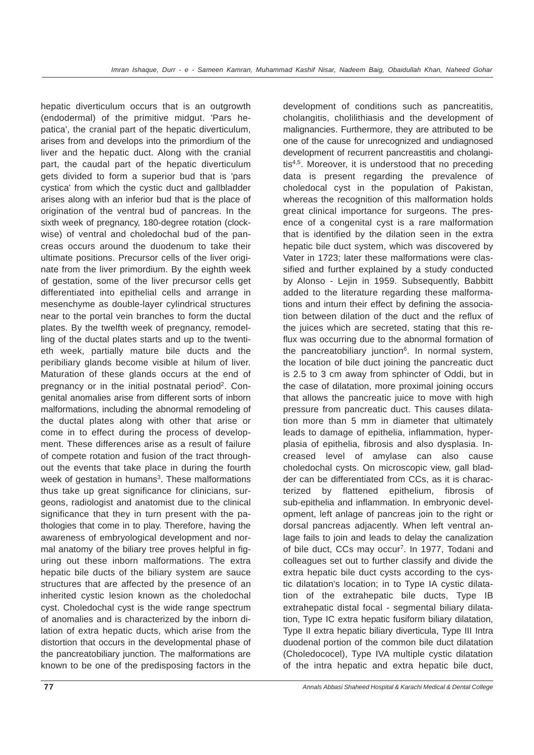hepatic diverticulum occurs that is an outgrowth (endodermal) of the primitive midgut. 'Pars hepatica', the cranial part of the hepatic diverticulum, arises from and develops into the primordium of the liver and the hepatic duct. Along with the cranial part, the caudal part of the hepatic diverticulum gets divided to form a superior bud that is 'pars cystica' from which the cystic duct and gallbladder arises along with an inferior bud that is the place of origination of the ventral bud of pancreas. In the sixth week of pregnancy, 180-degree rotation (clockwise) of ventral and choledochal bud of the pancreas occurs around the duodenum to take their ultimate positions. Precursor cells of the liver originate from the liver primordium. By the eighth week of gestation, some of the liver precursor cells get differentiated into epithelial cells and arrange in mesenchyme as double-layer cylindrical structures near to the portal vein branches to form the ductal plates. By the twelfth week of pregnancy, remodelling of the ductal plates starts and up to the twentieth week, partially mature bile ducts and the peribiliary glands become visible at hilum of liver. Maturation of these glands occurs at the end of pregnancy or in the initial postnatal period<sup>2</sup>. Congenital anomalies arise from different sorts of inborn malformations, including the abnormal remodeling of the ductal plates along with other that arise or come in to effect during the process of development. These differences arise as a result of failure of compete rotation and fusion of the tract throughout the events that take place in during the fourth week of gestation in humans<sup>3</sup>. These malformations thus take up great significance for clinicians, surgeons, radiologist and anatomist due to the clinical significance that they in turn present with the pathologies that come in to play. Therefore, having the awareness of embryological development and normal anatomy of the biliary tree proves helpful in figuring out these inborn malformations. The extra hepatic bile ducts of the biliary system are sauce structures that are affected by the presence of an inherited cystic lesion known as the choledochal cyst. Choledochal cyst is the wide range spectrum of anomalies and is characterized by the inborn dilation of extra hepatic ducts, which arise from the distortion that occurs in the developmental phase of the pancreatobiliary junction. The malformations are known to be one of the predisposing factors in the

development of conditions such as pancreatitis, cholangitis, cholilithiasis and the development of malignancies. Furthermore, they are attributed to be one of the cause for unrecognized and undiagnosed development of recurrent pancreastitis and cholangitis<sup>4,5</sup>. Moreover, it is understood that no preceding data is present regarding the prevalence of choledocal cyst in the population of Pakistan, whereas the recognition of this malformation holds great clinical importance for surgeons. The presence of a congenital cyst is a rare malformation that is identified by the dilation seen in the extra hepatic bile duct system, which was discovered by Vater in 1723; later these malformations were classified and further explained by a study conducted by Alonso - Lejin in 1959. Subsequently, Babbitt added to the literature regarding these malformations and inturn their effect by defining the association between dilation of the duct and the reflux of the juices which are secreted, stating that this reflux was occurring due to the abnormal formation of the pancreatobiliary junction<sup>6</sup>. In normal system, the location of bile duct joining the pancreatic duct is 2.5 to 3 cm away from sphincter of Oddi, but in the case of dilatation, more proximal joining occurs that allows the pancreatic juice to move with high pressure from pancreatic duct. This causes dilatation more than 5 mm in diameter that ultimately leads to damage of epithelia, inflammation, hyperplasia of epithelia, fibrosis and also dysplasia. Increased level of amylase can also cause choledochal cysts. On microscopic view, gall bladder can be differentiated from CCs, as it is characterized by flattened epithelium, fibrosis of sub-epithelia and inflammation. In embryonic development, left anlage of pancreas join to the right or dorsal pancreas adjacently. When left ventral anlage fails to join and leads to delay the canalization of bile duct, CCs may occur<sup>7</sup>. In 1977, Todani and colleagues set out to further classify and divide the extra hepatic bile duct cysts according to the cystic dilatation's location; in to Type IA cystic dilatation of the extrahepatic bile ducts, Type IB extrahepatic distal focal - segmental biliary dilatation, Type IC extra hepatic fusiform biliary dilatation, Type II extra hepatic biliary diverticula, Type III Intra duodenal portion of the common bile duct dilatation (Choledococel), Type IVA multiple cystic dilatation of the intra hepatic and extra hepatic bile duct,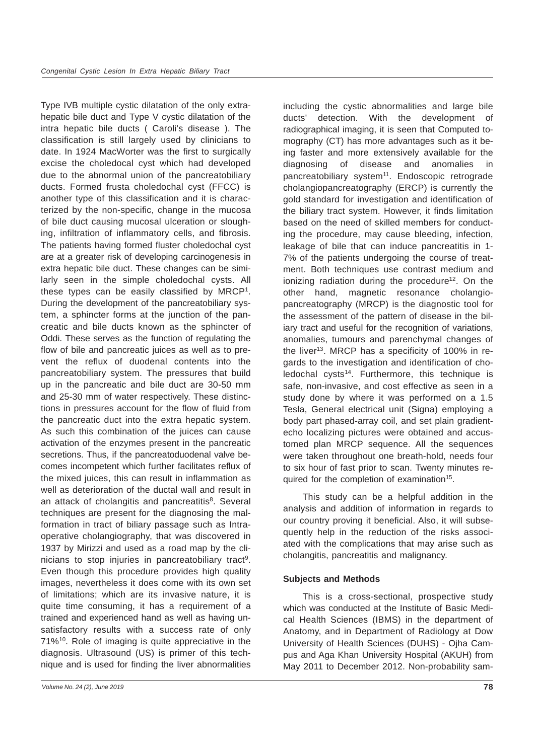Type IVB multiple cystic dilatation of the only extrahepatic bile duct and Type V cystic dilatation of the intra hepatic bile ducts ( Caroli's disease ). The classification is still largely used by clinicians to date. In 1924 MacWorter was the first to surgically excise the choledocal cyst which had developed due to the abnormal union of the pancreatobiliary ducts. Formed frusta choledochal cyst (FFCC) is another type of this classification and it is characterized by the non-specific, change in the mucosa of bile duct causing mucosal ulceration or sloughing, infiltration of inflammatory cells, and fibrosis. The patients having formed fluster choledochal cyst are at a greater risk of developing carcinogenesis in extra hepatic bile duct. These changes can be similarly seen in the simple choledochal cysts. All these types can be easily classified by MRCP1. During the development of the pancreatobiliary system, a sphincter forms at the junction of the pancreatic and bile ducts known as the sphincter of Oddi. These serves as the function of regulating the flow of bile and pancreatic juices as well as to prevent the reflux of duodenal contents into the pancreatobiliary system. The pressures that build up in the pancreatic and bile duct are 30-50 mm and 25-30 mm of water respectively. These distinctions in pressures account for the flow of fluid from the pancreatic duct into the extra hepatic system. As such this combination of the juices can cause activation of the enzymes present in the pancreatic secretions. Thus, if the pancreatoduodenal valve becomes incompetent which further facilitates reflux of the mixed juices, this can result in inflammation as well as deterioration of the ductal wall and result in an attack of cholangitis and pancreatitis<sup>8</sup>. Several techniques are present for the diagnosing the malformation in tract of biliary passage such as Intraoperative cholangiography, that was discovered in 1937 by Mirizzi and used as a road map by the clinicians to stop injuries in pancreatobiliary tract<sup>9</sup>. Even though this procedure provides high quality images, nevertheless it does come with its own set of limitations; which are its invasive nature, it is quite time consuming, it has a requirement of a trained and experienced hand as well as having unsatisfactory results with a success rate of only 71%10. Role of imaging is quite appreciative in the diagnosis. Ultrasound (US) is primer of this technique and is used for finding the liver abnormalities

including the cystic abnormalities and large bile ducts' detection. With the development of radiographical imaging, it is seen that Computed tomography (CT) has more advantages such as it being faster and more extensively available for the diagnosing of disease and anomalies in pancreatobiliary system<sup>11</sup>. Endoscopic retrograde cholangiopancreatography (ERCP) is currently the gold standard for investigation and identification of the biliary tract system. However, it finds limitation based on the need of skilled members for conducting the procedure, may cause bleeding, infection, leakage of bile that can induce pancreatitis in 1- 7% of the patients undergoing the course of treatment. Both techniques use contrast medium and ionizing radiation during the procedure<sup>12</sup>. On the other hand, magnetic resonance cholangiopancreatography (MRCP) is the diagnostic tool for the assessment of the pattern of disease in the biliary tract and useful for the recognition of variations, anomalies, tumours and parenchymal changes of the liver<sup>13</sup>. MRCP has a specificity of 100% in regards to the investigation and identification of cho $ledochal cysts<sup>14</sup>$ . Furthermore, this technique is safe, non-invasive, and cost effective as seen in a study done by where it was performed on a 1.5 Tesla, General electrical unit (Signa) employing a body part phased-array coil, and set plain gradientecho localizing pictures were obtained and accustomed plan MRCP sequence. All the sequences were taken throughout one breath-hold, needs four to six hour of fast prior to scan. Twenty minutes required for the completion of examination<sup>15</sup>.

This study can be a helpful addition in the analysis and addition of information in regards to our country proving it beneficial. Also, it will subsequently help in the reduction of the risks associated with the complications that may arise such as cholangitis, pancreatitis and malignancy.

## **Subjects and Methods**

This is a cross-sectional, prospective study which was conducted at the Institute of Basic Medical Health Sciences (IBMS) in the department of Anatomy, and in Department of Radiology at Dow University of Health Sciences (DUHS) - Ojha Campus and Aga Khan University Hospital (AKUH) from May 2011 to December 2012. Non-probability sam-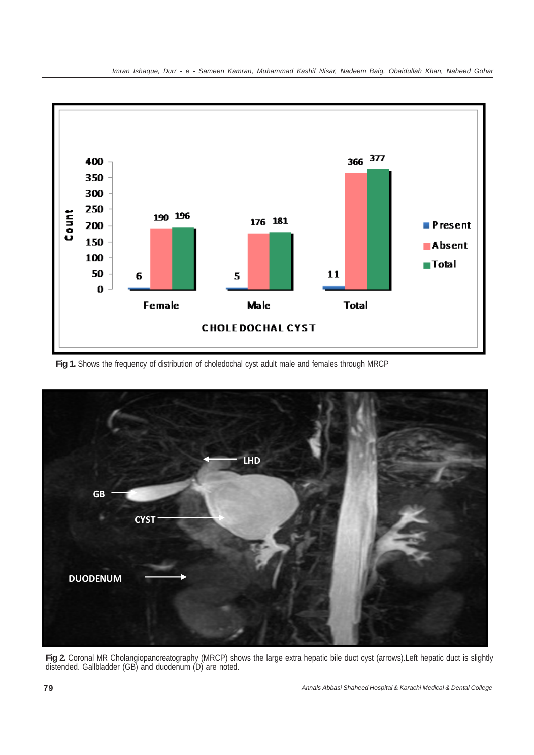

**Fig 1.** Shows the frequency of distribution of choledochal cyst adult male and females through MRCP



**Fig 2.** Coronal MR Cholangiopancreatography (MRCP) shows the large extra hepatic bile duct cyst (arrows).Left hepatic duct is slightly distended. Gallbladder (GB) and duodenum (D) are noted.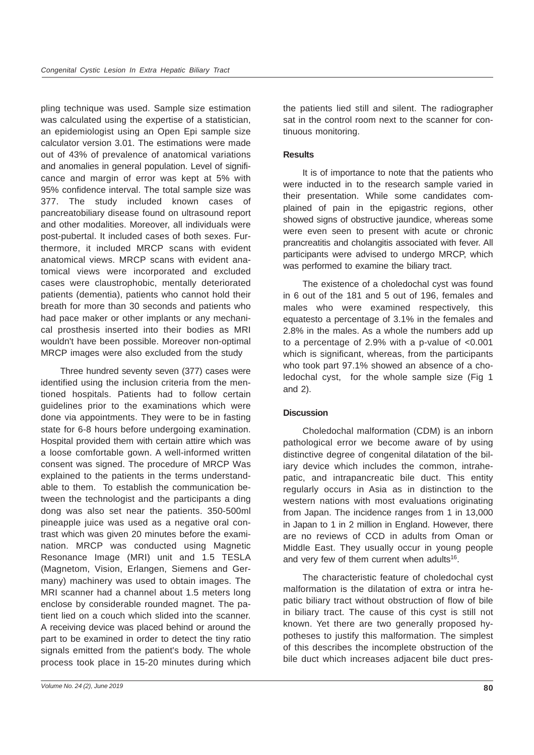pling technique was used. Sample size estimation was calculated using the expertise of a statistician, an epidemiologist using an Open Epi sample size calculator version 3.01. The estimations were made out of 43% of prevalence of anatomical variations and anomalies in general population. Level of significance and margin of error was kept at 5% with 95% confidence interval. The total sample size was 377. The study included known cases of pancreatobiliary disease found on ultrasound report and other modalities. Moreover, all individuals were post-pubertal. It included cases of both sexes. Furthermore, it included MRCP scans with evident anatomical views. MRCP scans with evident anatomical views were incorporated and excluded cases were claustrophobic, mentally deteriorated patients (dementia), patients who cannot hold their breath for more than 30 seconds and patients who had pace maker or other implants or any mechanical prosthesis inserted into their bodies as MRI wouldn't have been possible. Moreover non-optimal MRCP images were also excluded from the study

Three hundred seventy seven (377) cases were identified using the inclusion criteria from the mentioned hospitals. Patients had to follow certain guidelines prior to the examinations which were done via appointments. They were to be in fasting state for 6-8 hours before undergoing examination. Hospital provided them with certain attire which was a loose comfortable gown. A well-informed written consent was signed. The procedure of MRCP Was explained to the patients in the terms understandable to them. To establish the communication between the technologist and the participants a ding dong was also set near the patients. 350-500ml pineapple juice was used as a negative oral contrast which was given 20 minutes before the examination. MRCP was conducted using Magnetic Resonance Image (MRI) unit and 1.5 TESLA (Magnetom, Vision, Erlangen, Siemens and Germany) machinery was used to obtain images. The MRI scanner had a channel about 1.5 meters long enclose by considerable rounded magnet. The patient lied on a couch which slided into the scanner. A receiving device was placed behind or around the part to be examined in order to detect the tiny ratio signals emitted from the patient's body. The whole process took place in 15-20 minutes during which the patients lied still and silent. The radiographer sat in the control room next to the scanner for continuous monitoring.

#### **Results**

It is of importance to note that the patients who were inducted in to the research sample varied in their presentation. While some candidates complained of pain in the epigastric regions, other showed signs of obstructive jaundice, whereas some were even seen to present with acute or chronic prancreatitis and cholangitis associated with fever. All participants were advised to undergo MRCP, which was performed to examine the biliary tract.

The existence of a choledochal cyst was found in 6 out of the 181 and 5 out of 196, females and males who were examined respectively, this equatesto a percentage of 3.1% in the females and 2.8% in the males. As a whole the numbers add up to a percentage of 2.9% with a p-value of <0.001 which is significant, whereas, from the participants who took part 97.1% showed an absence of a choledochal cyst, for the whole sample size (Fig 1 and 2).

## **Discussion**

Choledochal malformation (CDM) is an inborn pathological error we become aware of by using distinctive degree of congenital dilatation of the biliary device which includes the common, intrahepatic, and intrapancreatic bile duct. This entity regularly occurs in Asia as in distinction to the western nations with most evaluations originating from Japan. The incidence ranges from 1 in 13,000 in Japan to 1 in 2 million in England. However, there are no reviews of CCD in adults from Oman or Middle East. They usually occur in young people and very few of them current when adults<sup>16</sup>.

The characteristic feature of choledochal cyst malformation is the dilatation of extra or intra hepatic biliary tract without obstruction of flow of bile in biliary tract. The cause of this cyst is still not known. Yet there are two generally proposed hypotheses to justify this malformation. The simplest of this describes the incomplete obstruction of the bile duct which increases adjacent bile duct pres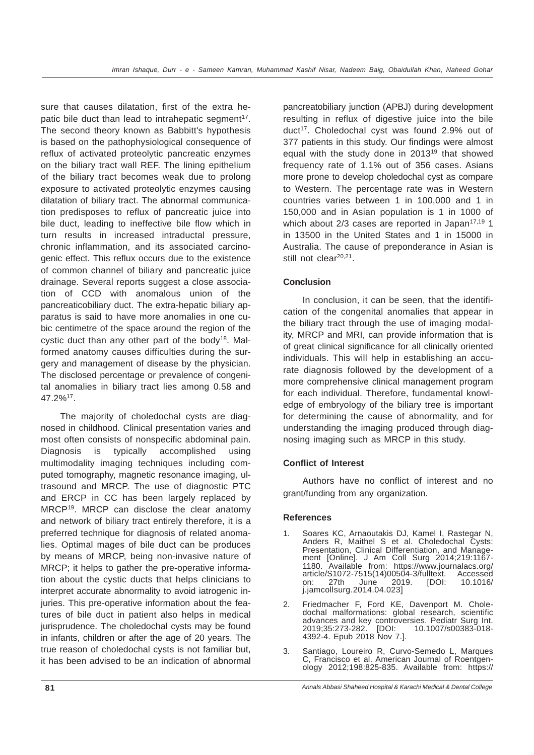sure that causes dilatation, first of the extra hepatic bile duct than lead to intrahepatic segment<sup>17</sup>. The second theory known as Babbitt's hypothesis is based on the pathophysiological consequence of reflux of activated proteolytic pancreatic enzymes on the biliary tract wall REF. The lining epithelium of the biliary tract becomes weak due to prolong exposure to activated proteolytic enzymes causing dilatation of biliary tract. The abnormal communication predisposes to reflux of pancreatic juice into bile duct, leading to ineffective bile flow which in turn results in increased intraductal pressure, chronic inflammation, and its associated carcinogenic effect. This reflux occurs due to the existence of common channel of biliary and pancreatic juice drainage. Several reports suggest a close association of CCD with anomalous union of the pancreaticobiliary duct. The extra-hepatic biliary apparatus is said to have more anomalies in one cubic centimetre of the space around the region of the cystic duct than any other part of the body<sup>18</sup>. Malformed anatomy causes difficulties during the surgery and management of disease by the physician. The disclosed percentage or prevalence of congenital anomalies in biliary tract lies among 0.58 and 47.2%17.

The majority of choledochal cysts are diagnosed in childhood. Clinical presentation varies and most often consists of nonspecific abdominal pain. Diagnosis is typically accomplished using multimodality imaging techniques including computed tomography, magnetic resonance imaging, ultrasound and MRCP. The use of diagnostic PTC and ERCP in CC has been largely replaced by MRCP19. MRCP can disclose the clear anatomy and network of biliary tract entirely therefore, it is a preferred technique for diagnosis of related anomalies. Optimal mages of bile duct can be produces by means of MRCP, being non-invasive nature of MRCP; it helps to gather the pre-operative information about the cystic ducts that helps clinicians to interpret accurate abnormality to avoid iatrogenic injuries. This pre-operative information about the features of bile duct in patient also helps in medical jurisprudence. The choledochal cysts may be found in infants, children or after the age of 20 years. The true reason of choledochal cysts is not familiar but, it has been advised to be an indication of abnormal

pancreatobiliary junction (APBJ) during development resulting in reflux of digestive juice into the bile duct<sup>17</sup>. Choledochal cyst was found 2.9% out of 377 patients in this study. Our findings were almost equal with the study done in 2013<sup>19</sup> that showed frequency rate of 1.1% out of 356 cases. Asians more prone to develop choledochal cyst as compare to Western. The percentage rate was in Western countries varies between 1 in 100,000 and 1 in 150,000 and in Asian population is 1 in 1000 of which about  $2/3$  cases are reported in Japan<sup>17,19</sup> 1 in 13500 in the United States and 1 in 15000 in Australia. The cause of preponderance in Asian is still not clear<sup>20,21</sup>.

## **Conclusion**

In conclusion, it can be seen, that the identification of the congenital anomalies that appear in the biliary tract through the use of imaging modality, MRCP and MRI, can provide information that is of great clinical significance for all clinically oriented individuals. This will help in establishing an accurate diagnosis followed by the development of a more comprehensive clinical management program for each individual. Therefore, fundamental knowledge of embryology of the biliary tree is important for determining the cause of abnormality, and for understanding the imaging produced through diagnosing imaging such as MRCP in this study.

## **Conflict of Interest**

Authors have no conflict of interest and no grant/funding from any organization.

#### **References**

- 1. Soares KC, Arnaoutakis DJ, Kamel I, Rastegar N, Anders R, Maithel S et al. Choledochal Cysts: Presentation, Clinical Differentiation, and Management [Online]. J Am Coll Surg 2014;219:1167- 1180. Available from: https://www.journalacs.org/ article/S1072-7515(14)00504-3/fulltext.<br>
on: 27th June 2019. [DOI: on: 27th June 2019. [DOI: 10.1016/ j.jamcollsurg.2014.04.023]
- 2. Friedmacher F, Ford KE, Davenport M. Choledochal malformations: global research, scientific advances and key controversies. Pediatr Surg Int. 2019;35:273-282. [DOI: 10.1007/s00383-018- 4392-4. Epub 2018 Nov 7.].
- 3. Santiago, Loureiro R, Curvo-Semedo L, Marques C, Francisco et al. American Journal of Roentgenology 2012;198:825-835. Available from: https://